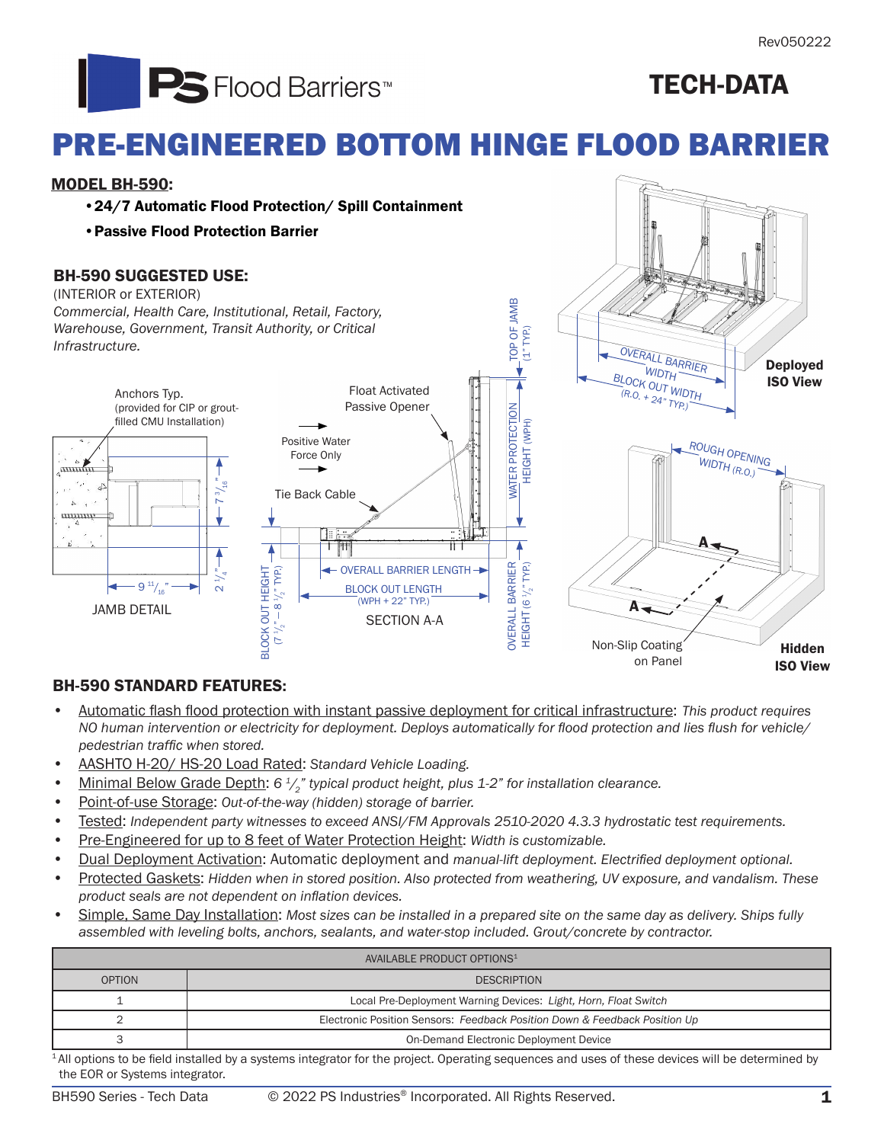

## TECH-DATA

# PRE-ENGINEERED BOTTOM HINGE FLOOD BARRIER

#### MODEL BH-590:

- •24/7 Automatic Flood Protection/ Spill Containment
- •Passive Flood Protection Barrier

### BH-590 SUGGESTED USE:

(INTERIOR or EXTERIOR) *Commercial, Health Care, Institutional, Retail, Factory, Warehouse, Government, Transit Authority, or Critical Infrastructure.* 



### BH-590 STANDARD FEATURES:

- Automatic flash flood protection with instant passive deployment for critical infrastructure: *This product requires NO human intervention or electricity for deployment. Deploys automatically for flood protection and lies flush for vehicle/ pedestrian traffic when stored.*
- AASHTO H-20/ HS-20 Load Rated: *Standard Vehicle Loading.*
- Minimal Below Grade Depth: 6<sup>1</sup>/<sub>2</sub><sup>*n*</sup> typical product height, plus 1-2<sup>*n*</sup> for installation clearance.
- Point-of-use Storage: *Out-of-the-way (hidden) storage of barrier.*
- Tested: *Independent party witnesses to exceed ANSI/FM Approvals 2510-2020 4.3.3 hydrostatic test requirements.*
- Pre-Engineered for up to 8 feet of Water Protection Height: *Width is customizable.*
- Dual Deployment Activation: Automatic deployment and *manual-lift deployment. Electrified deployment optional.*
- Protected Gaskets: *Hidden when in stored position. Also protected from weathering, UV exposure, and vandalism. These product seals are not dependent on inflation devices.*
- Simple, Same Day Installation: *Most sizes can be installed in a prepared site on the same day as delivery. Ships fully assembled with leveling bolts, anchors, sealants, and water-stop included. Grout/concrete by contractor.*

| AVAILABLE PRODUCT OPTIONS <sup>1</sup>                                                                                                   |                                                                            |  |  |  |
|------------------------------------------------------------------------------------------------------------------------------------------|----------------------------------------------------------------------------|--|--|--|
| <b>OPTION</b>                                                                                                                            | <b>DESCRIPTION</b>                                                         |  |  |  |
|                                                                                                                                          | Local Pre-Deployment Warning Devices: Light, Horn, Float Switch            |  |  |  |
|                                                                                                                                          | Electronic Position Sensors: Feedback Position Down & Feedback Position Up |  |  |  |
|                                                                                                                                          | On-Demand Electronic Deployment Device                                     |  |  |  |
| All capitale is distributed by a context of the section and all According against a capital of these shorters will be shared deviated by |                                                                            |  |  |  |

<sup>1</sup>All options to be field installed by a systems integrator for the project. Operating sequences and uses of these devices will be determined by the EOR or Systems integrator.